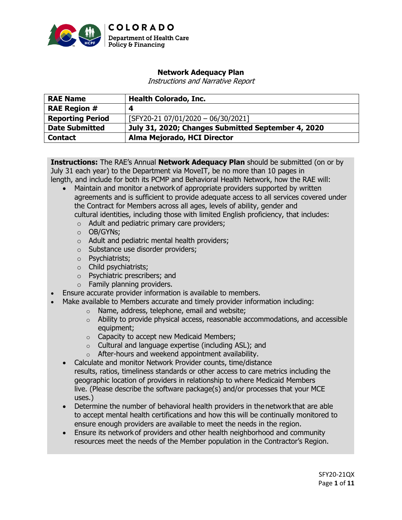

# **Network Adequacy Plan**

Instructions and Narrative Report

| <b>RAE Name</b>         | <b>Health Colorado, Inc.</b>                       |
|-------------------------|----------------------------------------------------|
| <b>RAE Region #</b>     | 4                                                  |
| <b>Reporting Period</b> | [SFY20-21 07/01/2020 - 06/30/2021]                 |
| <b>Date Submitted</b>   | July 31, 2020; Changes Submitted September 4, 2020 |
| <b>Contact</b>          | Alma Mejorado, HCI Director                        |

**Instructions:** The RAE's Annual **Network Adequacy Plan** should be submitted (on or by July 31 each year) to the Department via MoveIT, be no more than 10 pages in length, and include for both its PCMP and Behavioral Health Network, how the RAE will:

- Maintain and monitor a network of appropriate providers supported by written agreements and is sufficient to provide adequate access to all services covered under the Contract for Members across all ages, levels of ability, gender and cultural identities, including those with limited English proficiency, that includes:
	- $\circ$  Adult and pediatric primary care providers;
	- o OB/GYNs;
	- o Adult and pediatric mental health providers;
	- o Substance use disorder providers;
	- o Psychiatrists;
	- o Child psychiatrists;
	- o Psychiatric prescribers; and
	- o Family planning providers.
- Ensure accurate provider information is available to members.
- Make available to Members accurate and timely provider information including:
	- o Name, address, telephone, email and website;
	- $\circ$  Ability to provide physical access, reasonable accommodations, and accessible equipment;
	- o Capacity to accept new Medicaid Members;
	- o Cultural and language expertise (including ASL); and
	- o After-hours and weekend appointment availability.
	- Calculate and monitor Network Provider counts, time/distance results, ratios, timeliness standards or other access to care metrics including the geographic location of providers in relationship to where Medicaid Members live. (Please describe the software package(s) and/or processes that your MCE uses.)
	- Determine the number of behavioral health providers in the network that are able to accept mental health certifications and how this will be continually monitored to ensure enough providers are available to meet the needs in the region.
	- Ensure its network of providers and other health neighborhood and community resources meet the needs of the Member population in the Contractor's Region.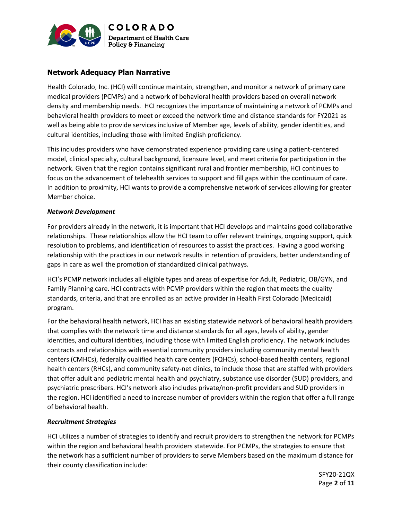

# **Network Adequacy Plan Narrative**

Health Colorado, Inc. (HCI) will continue maintain, strengthen, and monitor a network of primary care medical providers (PCMPs) and a network of behavioral health providers based on overall network density and membership needs. HCI recognizes the importance of maintaining a network of PCMPs and behavioral health providers to meet or exceed the network time and distance standards for FY2021 as well as being able to provide services inclusive of Member age, levels of ability, gender identities, and cultural identities, including those with limited English proficiency.

This includes providers who have demonstrated experience providing care using a patient-centered model, clinical specialty, cultural background, licensure level, and meet criteria for participation in the network. Given that the region contains significant rural and frontier membership, HCI continues to focus on the advancement of telehealth services to support and fill gaps within the continuum of care. In addition to proximity, HCI wants to provide a comprehensive network of services allowing for greater Member choice.

#### *Network Development*

For providers already in the network, it is important that HCI develops and maintains good collaborative relationships. These relationships allow the HCI team to offer relevant trainings, ongoing support, quick resolution to problems, and identification of resources to assist the practices. Having a good working relationship with the practices in our network results in retention of providers, better understanding of gaps in care as well the promotion of standardized clinical pathways.

HCI's PCMP network includes all eligible types and areas of expertise for Adult, Pediatric, OB/GYN, and Family Planning care. HCI contracts with PCMP providers within the region that meets the quality standards, criteria, and that are enrolled as an active provider in Health First Colorado (Medicaid) program.

For the behavioral health network, HCI has an existing statewide network of behavioral health providers that complies with the network time and distance standards for all ages, levels of ability, gender identities, and cultural identities, including those with limited English proficiency. The network includes contracts and relationships with essential community providers including community mental health centers (CMHCs), federally qualified health care centers (FQHCs), school-based health centers, regional health centers (RHCs), and community safety-net clinics, to include those that are staffed with providers that offer adult and pediatric mental health and psychiatry, substance use disorder (SUD) providers, and psychiatric prescribers. HCI's network also includes private/non-profit providers and SUD providers in the region. HCI identified a need to increase number of providers within the region that offer a full range of behavioral health.

### *Recruitment Strategies*

HCI utilizes a number of strategies to identify and recruit providers to strengthen the network for PCMPs within the region and behavioral health providers statewide. For PCMPs, the strategies to ensure that the network has a sufficient number of providers to serve Members based on the maximum distance for their county classification include: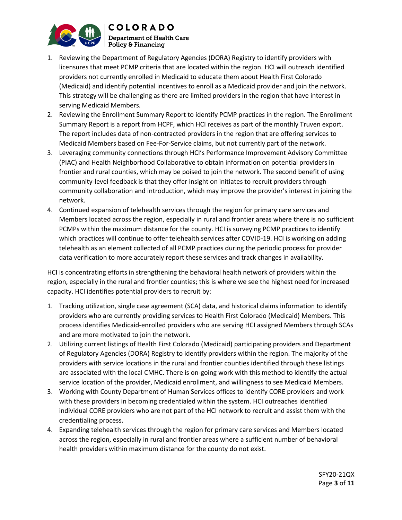

**COLORADO Department of Health Care**  $\mid$  Policy & Financing

- 1. Reviewing the Department of Regulatory Agencies (DORA) Registry to identify providers with licensures that meet PCMP criteria that are located within the region. HCI will outreach identified providers not currently enrolled in Medicaid to educate them about Health First Colorado (Medicaid) and identify potential incentives to enroll as a Medicaid provider and join the network. This strategy will be challenging as there are limited providers in the region that have interest in serving Medicaid Members.
- 2. Reviewing the Enrollment Summary Report to identify PCMP practices in the region. The Enrollment Summary Report is a report from HCPF, which HCI receives as part of the monthly Truven export. The report includes data of non-contracted providers in the region that are offering services to Medicaid Members based on Fee-For-Service claims, but not currently part of the network.
- 3. Leveraging community connections through HCI's Performance Improvement Advisory Committee (PIAC) and Health Neighborhood Collaborative to obtain information on potential providers in frontier and rural counties, which may be poised to join the network. The second benefit of using community-level feedback is that they offer insight on initiates to recruit providers through community collaboration and introduction, which may improve the provider's interest in joining the network.
- 4. Continued expansion of telehealth services through the region for primary care services and Members located across the region, especially in rural and frontier areas where there is no sufficient PCMPs within the maximum distance for the county. HCI is surveying PCMP practices to identify which practices will continue to offer telehealth services after COVID-19. HCI is working on adding telehealth as an element collected of all PCMP practices during the periodic process for provider data verification to more accurately report these services and track changes in availability.

HCI is concentrating efforts in strengthening the behavioral health network of providers within the region, especially in the rural and frontier counties; this is where we see the highest need for increased capacity. HCI identifies potential providers to recruit by:

- 1. Tracking utilization, single case agreement (SCA) data, and historical claims information to identify providers who are currently providing services to Health First Colorado (Medicaid) Members. This process identifies Medicaid-enrolled providers who are serving HCI assigned Members through SCAs and are more motivated to join the network.
- 2. Utilizing current listings of Health First Colorado (Medicaid) participating providers and Department of Regulatory Agencies (DORA) Registry to identify providers within the region. The majority of the providers with service locations in the rural and frontier counties identified through these listings are associated with the local CMHC. There is on-going work with this method to identify the actual service location of the provider, Medicaid enrollment, and willingness to see Medicaid Members.
- 3. Working with County Department of Human Services offices to identify CORE providers and work with these providers in becoming credentialed within the system. HCI outreaches identified individual CORE providers who are not part of the HCI network to recruit and assist them with the credentialing process.
- 4. Expanding telehealth services through the region for primary care services and Members located across the region, especially in rural and frontier areas where a sufficient number of behavioral health providers within maximum distance for the county do not exist.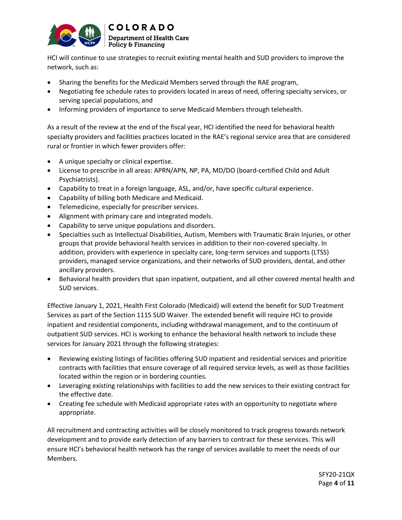

HCI will continue to use strategies to recruit existing mental health and SUD providers to improve the network, such as:

- Sharing the benefits for the Medicaid Members served through the RAE program,
- Negotiating fee schedule rates to providers located in areas of need, offering specialty services, or serving special populations, and
- Informing providers of importance to serve Medicaid Members through telehealth.

As a result of the review at the end of the fiscal year, HCI identified the need for behavioral health specialty providers and facilities practices located in the RAE's regional service area that are considered rural or frontier in which fewer providers offer:

- A unique specialty or clinical expertise.
- License to prescribe in all areas: APRN/APN, NP, PA, MD/DO (board-certified Child and Adult Psychiatrists).
- Capability to treat in a foreign language, ASL, and/or, have specific cultural experience.
- Capability of billing both Medicare and Medicaid.
- Telemedicine, especially for prescriber services.
- Alignment with primary care and integrated models.
- Capability to serve unique populations and disorders.
- Specialties such as Intellectual Disabilities, Autism, Members with Traumatic Brain Injuries, or other groups that provide behavioral health services in addition to their non-covered specialty. In addition, providers with experience in specialty care, long-term services and supports (LTSS) providers, managed service organizations, and their networks of SUD providers, dental, and other ancillary providers.
- Behavioral health providers that span inpatient, outpatient, and all other covered mental health and SUD services.

Effective January 1, 2021, Health First Colorado (Medicaid) will extend the benefit for SUD Treatment Services as part of the Section 1115 SUD Waiver. The extended benefit will require HCI to provide inpatient and residential components, including withdrawal management, and to the continuum of outpatient SUD services. HCI is working to enhance the behavioral health network to include these services for January 2021 through the following strategies:

- Reviewing existing listings of facilities offering SUD inpatient and residential services and prioritize contracts with facilities that ensure coverage of all required service levels, as well as those facilities located within the region or in bordering counties.
- Leveraging existing relationships with facilities to add the new services to their existing contract for the effective date.
- Creating fee schedule with Medicaid appropriate rates with an opportunity to negotiate where appropriate.

All recruitment and contracting activities will be closely monitored to track progress towards network development and to provide early detection of any barriers to contract for these services. This will ensure HCI's behavioral health network has the range of services available to meet the needs of our Members.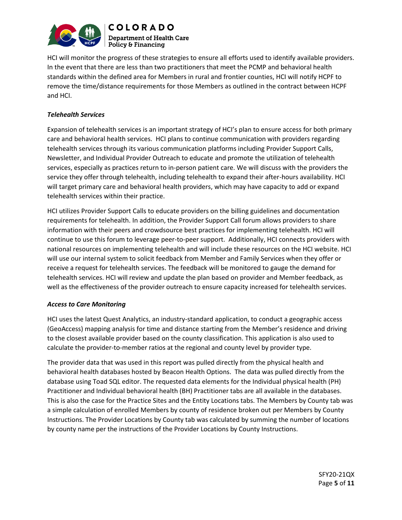

**COLORADO Department of Health Care** Policy & Financing

HCI will monitor the progress of these strategies to ensure all efforts used to identify available providers. In the event that there are less than two practitioners that meet the PCMP and behavioral health standards within the defined area for Members in rural and frontier counties, HCI will notify HCPF to remove the time/distance requirements for those Members as outlined in the contract between HCPF and HCI.

### *Telehealth Services*

Expansion of telehealth services is an important strategy of HCI's plan to ensure access for both primary care and behavioral health services. HCI plans to continue communication with providers regarding telehealth services through its various communication platforms including Provider Support Calls, Newsletter, and Individual Provider Outreach to educate and promote the utilization of telehealth services, especially as practices return to in-person patient care. We will discuss with the providers the service they offer through telehealth, including telehealth to expand their after-hours availability. HCI will target primary care and behavioral health providers, which may have capacity to add or expand telehealth services within their practice.

HCI utilizes Provider Support Calls to educate providers on the billing guidelines and documentation requirements for telehealth. In addition, the Provider Support Call forum allows providers to share information with their peers and crowdsource best practices for implementing telehealth. HCI will continue to use this forum to leverage peer-to-peer support. Additionally, HCI connects providers with national resources on implementing telehealth and will include these resources on the HCI website. HCI will use our internal system to solicit feedback from Member and Family Services when they offer or receive a request for telehealth services. The feedback will be monitored to gauge the demand for telehealth services. HCI will review and update the plan based on provider and Member feedback, as well as the effectiveness of the provider outreach to ensure capacity increased for telehealth services.

### *Access to Care Monitoring*

HCI uses the latest Quest Analytics, an industry-standard application, to conduct a geographic access (GeoAccess) mapping analysis for time and distance starting from the Member's residence and driving to the closest available provider based on the county classification. This application is also used to calculate the provider-to-member ratios at the regional and county level by provider type.

The provider data that was used in this report was pulled directly from the physical health and behavioral health databases hosted by Beacon Health Options. The data was pulled directly from the database using Toad SQL editor. The requested data elements for the Individual physical health (PH) Practitioner and Individual behavioral health (BH) Practitioner tabs are all available in the databases. This is also the case for the Practice Sites and the Entity Locations tabs. The Members by County tab was a simple calculation of enrolled Members by county of residence broken out per Members by County Instructions. The Provider Locations by County tab was calculated by summing the number of locations by county name per the instructions of the Provider Locations by County Instructions.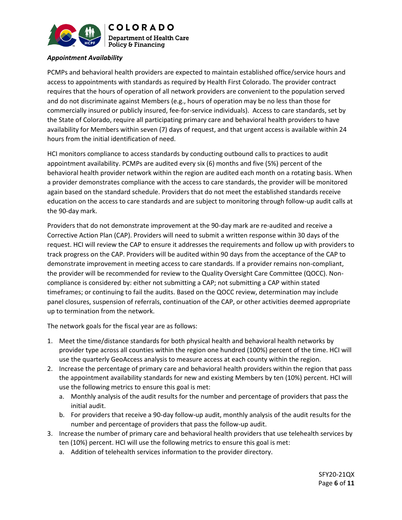

### *Appointment Availability*

PCMPs and behavioral health providers are expected to maintain established office/service hours and access to appointments with standards as required by Health First Colorado. The provider contract requires that the hours of operation of all network providers are convenient to the population served and do not discriminate against Members (e.g., hours of operation may be no less than those for commercially insured or publicly insured, fee-for-service individuals). Access to care standards, set by the State of Colorado, require all participating primary care and behavioral health providers to have availability for Members within seven (7) days of request, and that urgent access is available within 24 hours from the initial identification of need.

HCI monitors compliance to access standards by conducting outbound calls to practices to audit appointment availability. PCMPs are audited every six (6) months and five (5%) percent of the behavioral health provider network within the region are audited each month on a rotating basis. When a provider demonstrates compliance with the access to care standards, the provider will be monitored again based on the standard schedule. Providers that do not meet the established standards receive education on the access to care standards and are subject to monitoring through follow-up audit calls at the 90-day mark.

Providers that do not demonstrate improvement at the 90-day mark are re-audited and receive a Corrective Action Plan (CAP). Providers will need to submit a written response within 30 days of the request. HCI will review the CAP to ensure it addresses the requirements and follow up with providers to track progress on the CAP. Providers will be audited within 90 days from the acceptance of the CAP to demonstrate improvement in meeting access to care standards. If a provider remains non-compliant, the provider will be recommended for review to the Quality Oversight Care Committee (QOCC). Noncompliance is considered by: either not submitting a CAP; not submitting a CAP within stated timeframes; or continuing to fail the audits. Based on the QOCC review, determination may include panel closures, suspension of referrals, continuation of the CAP, or other activities deemed appropriate up to termination from the network.

The network goals for the fiscal year are as follows:

- 1. Meet the time/distance standards for both physical health and behavioral health networks by provider type across all counties within the region one hundred (100%) percent of the time. HCI will use the quarterly GeoAccess analysis to measure access at each county within the region.
- 2. Increase the percentage of primary care and behavioral health providers within the region that pass the appointment availability standards for new and existing Members by ten (10%) percent. HCI will use the following metrics to ensure this goal is met:
	- a. Monthly analysis of the audit results for the number and percentage of providers that pass the initial audit.
	- b. For providers that receive a 90-day follow-up audit, monthly analysis of the audit results for the number and percentage of providers that pass the follow-up audit.
- 3. Increase the number of primary care and behavioral health providers that use telehealth services by ten (10%) percent. HCI will use the following metrics to ensure this goal is met:
	- a. Addition of telehealth services information to the provider directory.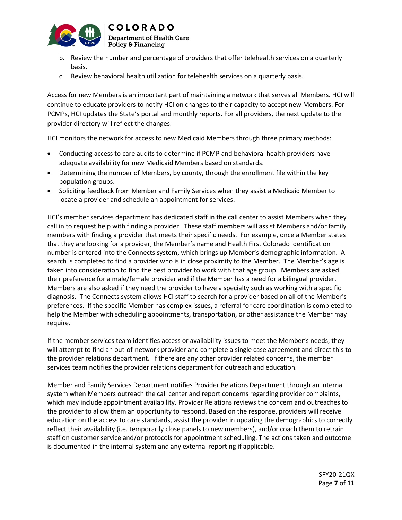

- b. Review the number and percentage of providers that offer telehealth services on a quarterly basis.
- c. Review behavioral health utilization for telehealth services on a quarterly basis.

Access for new Members is an important part of maintaining a network that serves all Members. HCI will continue to educate providers to notify HCI on changes to their capacity to accept new Members. For PCMPs, HCI updates the State's portal and monthly reports. For all providers, the next update to the provider directory will reflect the changes.

HCI monitors the network for access to new Medicaid Members through three primary methods:

- Conducting access to care audits to determine if PCMP and behavioral health providers have adequate availability for new Medicaid Members based on standards.
- Determining the number of Members, by county, through the enrollment file within the key population groups.
- Soliciting feedback from Member and Family Services when they assist a Medicaid Member to locate a provider and schedule an appointment for services.

HCI's member services department has dedicated staff in the call center to assist Members when they call in to request help with finding a provider. These staff members will assist Members and/or family members with finding a provider that meets their specific needs. For example, once a Member states that they are looking for a provider, the Member's name and Health First Colorado identification number is entered into the Connects system, which brings up Member's demographic information. A search is completed to find a provider who is in close proximity to the Member. The Member's age is taken into consideration to find the best provider to work with that age group. Members are asked their preference for a male/female provider and if the Member has a need for a bilingual provider. Members are also asked if they need the provider to have a specialty such as working with a specific diagnosis. The Connects system allows HCI staff to search for a provider based on all of the Member's preferences. If the specific Member has complex issues, a referral for care coordination is completed to help the Member with scheduling appointments, transportation, or other assistance the Member may require.

If the member services team identifies access or availability issues to meet the Member's needs, they will attempt to find an out-of-network provider and complete a single case agreement and direct this to the provider relations department. If there are any other provider related concerns, the member services team notifies the provider relations department for outreach and education.

Member and Family Services Department notifies Provider Relations Department through an internal system when Members outreach the call center and report concerns regarding provider complaints, which may include appointment availability. Provider Relations reviews the concern and outreaches to the provider to allow them an opportunity to respond. Based on the response, providers will receive education on the access to care standards, assist the provider in updating the demographics to correctly reflect their availability (i.e. temporarily close panels to new members), and/or coach them to retrain staff on customer service and/or protocols for appointment scheduling. The actions taken and outcome is documented in the internal system and any external reporting if applicable.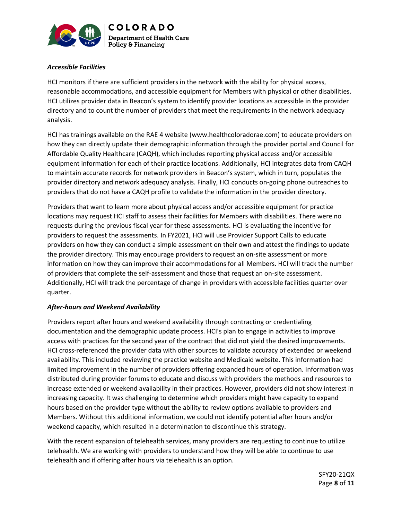

## *Accessible Facilities*

HCI monitors if there are sufficient providers in the network with the ability for physical access, reasonable accommodations, and accessible equipment for Members with physical or other disabilities. HCI utilizes provider data in Beacon's system to identify provider locations as accessible in the provider directory and to count the number of providers that meet the requirements in the network adequacy analysis.

HCI has trainings available on the RAE 4 website (www.healthcoloradorae.com) to educate providers on how they can directly update their demographic information through the provider portal and Council for Affordable Quality Healthcare (CAQH), which includes reporting physical access and/or accessible equipment information for each of their practice locations. Additionally, HCI integrates data from CAQH to maintain accurate records for network providers in Beacon's system, which in turn, populates the provider directory and network adequacy analysis. Finally, HCI conducts on-going phone outreaches to providers that do not have a CAQH profile to validate the information in the provider directory.

Providers that want to learn more about physical access and/or accessible equipment for practice locations may request HCI staff to assess their facilities for Members with disabilities. There were no requests during the previous fiscal year for these assessments. HCI is evaluating the incentive for providers to request the assessments. In FY2021, HCI will use Provider Support Calls to educate providers on how they can conduct a simple assessment on their own and attest the findings to update the provider directory. This may encourage providers to request an on-site assessment or more information on how they can improve their accommodations for all Members. HCI will track the number of providers that complete the self-assessment and those that request an on-site assessment. Additionally, HCI will track the percentage of change in providers with accessible facilities quarter over quarter.

### *After-hours and Weekend Availability*

Providers report after hours and weekend availability through contracting or credentialing documentation and the demographic update process. HCI's plan to engage in activities to improve access with practices for the second year of the contract that did not yield the desired improvements. HCI cross-referenced the provider data with other sources to validate accuracy of extended or weekend availability. This included reviewing the practice website and Medicaid website. This information had limited improvement in the number of providers offering expanded hours of operation. Information was distributed during provider forums to educate and discuss with providers the methods and resources to increase extended or weekend availability in their practices. However, providers did not show interest in increasing capacity. It was challenging to determine which providers might have capacity to expand hours based on the provider type without the ability to review options available to providers and Members. Without this additional information, we could not identify potential after hours and/or weekend capacity, which resulted in a determination to discontinue this strategy.

With the recent expansion of telehealth services, many providers are requesting to continue to utilize telehealth. We are working with providers to understand how they will be able to continue to use telehealth and if offering after hours via telehealth is an option.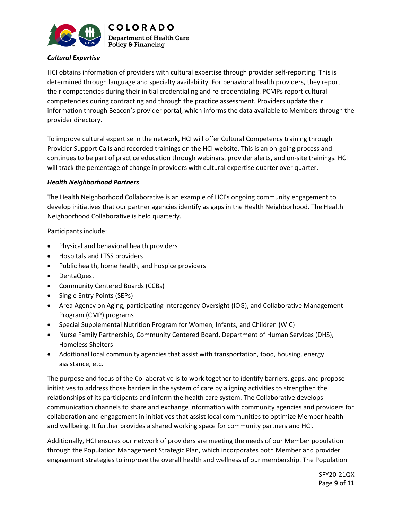

**COLORADO Department of Health Care** Policy & Financing

## *Cultural Expertise*

HCI obtains information of providers with cultural expertise through provider self-reporting. This is determined through language and specialty availability. For behavioral health providers, they report their competencies during their initial credentialing and re-credentialing. PCMPs report cultural competencies during contracting and through the practice assessment. Providers update their information through Beacon's provider portal, which informs the data available to Members through the provider directory.

To improve cultural expertise in the network, HCI will offer Cultural Competency training through Provider Support Calls and recorded trainings on the HCI website. This is an on-going process and continues to be part of practice education through webinars, provider alerts, and on-site trainings. HCI will track the percentage of change in providers with cultural expertise quarter over quarter.

### *Health Neighborhood Partners*

The Health Neighborhood Collaborative is an example of HCI's ongoing community engagement to develop initiatives that our partner agencies identify as gaps in the Health Neighborhood. The Health Neighborhood Collaborative is held quarterly.

Participants include:

- Physical and behavioral health providers
- Hospitals and LTSS providers
- Public health, home health, and hospice providers
- DentaQuest
- Community Centered Boards (CCBs)
- Single Entry Points (SEPs)
- Area Agency on Aging, participating Interagency Oversight (IOG), and Collaborative Management Program (CMP) programs
- Special Supplemental Nutrition Program for Women, Infants, and Children (WIC)
- Nurse Family Partnership, Community Centered Board, Department of Human Services (DHS), Homeless Shelters
- Additional local community agencies that assist with transportation, food, housing, energy assistance, etc.

The purpose and focus of the Collaborative is to work together to identify barriers, gaps, and propose initiatives to address those barriers in the system of care by aligning activities to strengthen the relationships of its participants and inform the health care system. The Collaborative develops communication channels to share and exchange information with community agencies and providers for collaboration and engagement in initiatives that assist local communities to optimize Member health and wellbeing. It further provides a shared working space for community partners and HCI.

Additionally, HCI ensures our network of providers are meeting the needs of our Member population through the Population Management Strategic Plan, which incorporates both Member and provider engagement strategies to improve the overall health and wellness of our membership. The Population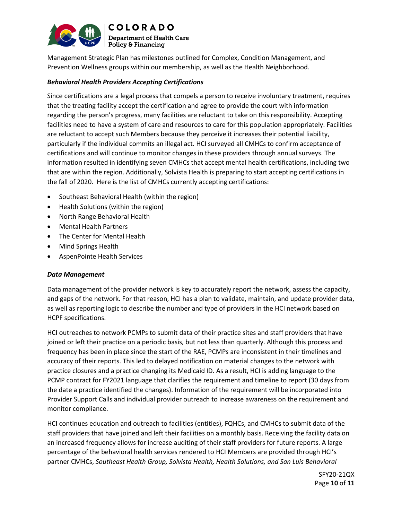

Management Strategic Plan has milestones outlined for Complex, Condition Management, and Prevention Wellness groups within our membership, as well as the Health Neighborhood.

### *Behavioral Health Providers Accepting Certifications*

Since certifications are a legal process that compels a person to receive involuntary treatment, requires that the treating facility accept the certification and agree to provide the court with information regarding the person's progress, many facilities are reluctant to take on this responsibility. Accepting facilities need to have a system of care and resources to care for this population appropriately. Facilities are reluctant to accept such Members because they perceive it increases their potential liability, particularly if the individual commits an illegal act. HCI surveyed all CMHCs to confirm acceptance of certifications and will continue to monitor changes in these providers through annual surveys. The information resulted in identifying seven CMHCs that accept mental health certifications, including two that are within the region. Additionally, Solvista Health is preparing to start accepting certifications in the fall of 2020. Here is the list of CMHCs currently accepting certifications:

- Southeast Behavioral Health (within the region)
- Health Solutions (within the region)
- North Range Behavioral Health
- Mental Health Partners
- The Center for Mental Health
- Mind Springs Health
- AspenPointe Health Services

### *Data Management*

Data management of the provider network is key to accurately report the network, assess the capacity, and gaps of the network. For that reason, HCI has a plan to validate, maintain, and update provider data, as well as reporting logic to describe the number and type of providers in the HCI network based on HCPF specifications.

HCI outreaches to network PCMPs to submit data of their practice sites and staff providers that have joined or left their practice on a periodic basis, but not less than quarterly. Although this process and frequency has been in place since the start of the RAE, PCMPs are inconsistent in their timelines and accuracy of their reports. This led to delayed notification on material changes to the network with practice closures and a practice changing its Medicaid ID. As a result, HCI is adding language to the PCMP contract for FY2021 language that clarifies the requirement and timeline to report (30 days from the date a practice identified the changes). Information of the requirement will be incorporated into Provider Support Calls and individual provider outreach to increase awareness on the requirement and monitor compliance.

HCI continues education and outreach to facilities (entities), FQHCs, and CMHCs to submit data of the staff providers that have joined and left their facilities on a monthly basis. Receiving the facility data on an increased frequency allows for increase auditing of their staff providers for future reports. A large percentage of the behavioral health services rendered to HCI Members are provided through HCI's partner CMHCs, *Southeast Health Group, Solvista Health, Health Solutions, and San Luis Behavioral*